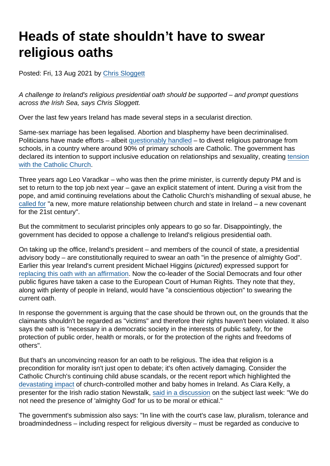# Heads of state shouldn't have to swear religious oaths

Posted: Fri, 13 Aug 2021 by [Chris Sloggett](https://www.secularism.org.uk/opinion/authors/968)

A challenge to Ireland's religious presidential oath should be supported – and prompt questions across the Irish Sea, says Chris Sloggett.

Over the last few years Ireland has made several steps in a secularist direction.

Same-sex marriage has been legalised. Abortion and blasphemy have been decriminalised. Politicians have made efforts – albeit [questionably handled](https://www.theguardian.com/commentisfree/2019/apr/10/ireland-secularise-schools-catholic-dublin-divestment) – to divest religious patronage from schools, in a country where around 90% of primary schools are Catholic. The government has declared its intention to support inclusive education on relationships and sexuality, creating [tension](https://www.thejournal.ie/varadkar-shortall-sex-education-5423557-Apr2021/) [with the Catholic Church](https://www.thejournal.ie/varadkar-shortall-sex-education-5423557-Apr2021/).

Three years ago Leo Varadkar – who was then the prime minister, is currently deputy PM and is set to return to the top job next year – gave an explicit statement of intent. During a visit from the pope, and amid continuing revelations about the Catholic Church's mishandling of sexual abuse, he [called for](https://www.theguardian.com/world/2018/aug/25/arrival-of-pope-francis-in-ireland-brings-mixed-emotions) "a new, more mature relationship between church and state in Ireland – a new covenant for the 21st century".

But the commitment to secularist principles only appears to go so far. Disappointingly, the government has decided to oppose a challenge to Ireland's religious presidential oath.

On taking up the office, Ireland's president – and members of the council of state, a presidential advisory body – are constitutionally required to swear an oath "in the presence of almighty God". Earlier this year Ireland's current president Michael Higgins (pictured) expressed support for [replacing this oath with an affirmation](https://atheist.ie/2021/05/higgins-religious-oath/). Now the co-leader of the Social Democrats and four other public figures have taken a case to the European Court of Human Rights. They note that they, along with plenty of people in Ireland, would have "a conscientious objection" to swearing the current oath.

In response the government is arguing that the case should be thrown out, on the grounds that the claimants shouldn't be regarded as "victims" and therefore their rights haven't been violated. It also says the oath is "necessary in a democratic society in the interests of public safety, for the protection of public order, health or morals, or for the protection of the rights and freedoms of others".

But that's an unconvincing reason for an oath to be religious. The idea that religion is a precondition for morality isn't just open to debate; it's often actively damaging. Consider the Catholic Church's continuing child abuse scandals, or the recent report which highlighted the [devastating impact](https://www.secularism.org.uk/opinion/2021/02/irelands-mother-and-baby-homes-scandal-shows-the-necessity-of-separating-church-and-state) of church-controlled mother and baby homes in Ireland. As Ciara Kelly, a presenter for the Irish radio station Newstalk, [said in a discussion](https://www.youtube.com/watch?v=k3QIuYDi1zQ) on the subject last week: "We do not need the presence of 'almighty God' for us to be moral or ethical."

The government's submission also says: "In line with the court's case law, pluralism, tolerance and broadmindedness – including respect for religious diversity – must be regarded as conducive to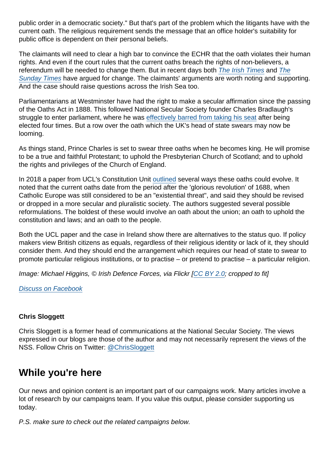public order in a democratic society." But that's part of the problem which the litigants have with the current oath. The religious requirement sends the message that an office holder's suitability for public office is dependent on their personal beliefs.

The claimants will need to clear a high bar to convince the ECHR that the oath violates their human rights. And even if the court rules that the current oaths breach the rights of non-believers, a referendum will be needed to change them. But in recent days both [The Irish Times](https://www.irishtimes.com/opinion/editorial/the-irish-times-view-on-the-religious-oath-time-for-change-1.4638119) and [The](https://www.thetimes.co.uk/article/the-sunday-times-view-christian-oath-des-omalley-declaration-loyalty-hhhqql63g) [Sunday Times](https://www.thetimes.co.uk/article/the-sunday-times-view-christian-oath-des-omalley-declaration-loyalty-hhhqql63g) have argued for change. The claimants' arguments are worth noting and supporting. And the case should raise questions across the Irish Sea too.

Parliamentarians at Westminster have had the right to make a secular affirmation since the passing of the Oaths Act in 1888. This followed National Secular Society founder Charles Bradlaugh's struggle to enter parliament, where he was [effectively barred from taking his seat](https://www.secularism.org.uk/bradlaughs-struggle-to-enter-par.html) after being elected four times. But a row over the oath which the UK's head of state swears may now be looming.

As things stand, Prince Charles is set to swear three oaths when he becomes king. He will promise to be a true and faithful Protestant; to uphold the Presbyterian Church of Scotland; and to uphold the rights and privileges of the Church of England.

In 2018 a paper from UCL's Constitution Unit [outlined](https://www.ucl.ac.uk/constitution-unit/research/monarchy-church-and-state/accession-and-coronation) several ways these oaths could evolve. It noted that the current oaths date from the period after the 'glorious revolution' of 1688, when Catholic Europe was still considered to be an "existential threat", and said they should be revised or dropped in a more secular and pluralistic society. The authors suggested several possible reformulations. The boldest of these would involve an oath about the union; an oath to uphold the constitution and laws; and an oath to the people.

Both the UCL paper and the case in Ireland show there are alternatives to the status quo. If policy makers view British citizens as equals, regardless of their religious identity or lack of it, they should consider them. And they should end the arrangement which requires our head of state to swear to promote particular religious institutions, or to practise – or pretend to practise – a particular religion.

Image: Michael Higgins, © Irish Defence Forces, via Flickr [[CC BY 2.0;](https://creativecommons.org/licenses/by/2.0/deed.en) cropped to fit]

#### [Discuss on Facebook](https://www.facebook.com/NationalSecularSociety/posts/4238018889599763?__cft__[0]=AZViKWBtpZUBMzIwoSxYLKWNu-3asVkuF9LYAQ31OLKjrP0zDQ4gjkGqBuCNm3Un8qwXN60a_8WKqGgB4tNuc_rD4_To4vQIB9ybZsw5PVqD2uL5-BL9zJ2-sZNnnuuTp2_c2oPM02osPJZGGMN_7ikVu8Gd92m37m7ceCh-rmoVjV_rbWyQDD_gd8Z-osuTcCk&__tn__=,O,P-R)

#### Chris Sloggett

Chris Sloggett is a former head of communications at the National Secular Society. The views expressed in our blogs are those of the author and may not necessarily represent the views of the NSS. Follow Chris on Twitter: [@ChrisSloggett](https://twitter.com/ChrisSloggett)

# While you're here

Our news and opinion content is an important part of our campaigns work. Many articles involve a lot of research by our campaigns team. If you value this output, please consider supporting us today.

P.S. make sure to check out the related campaigns below.